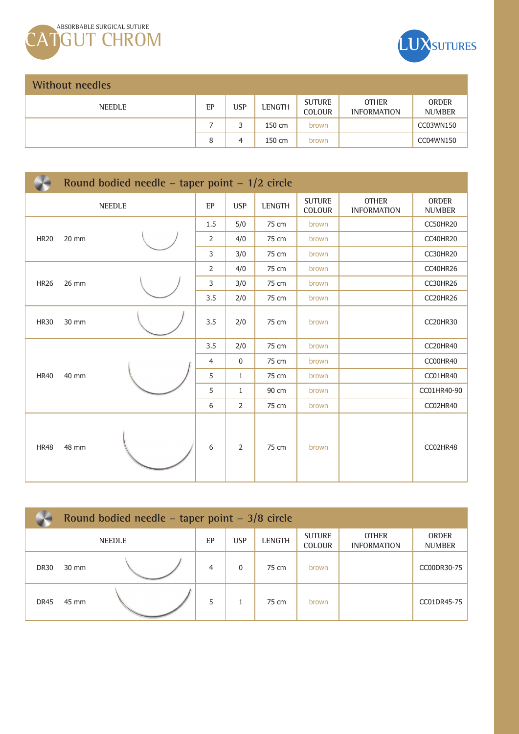



**ORDER NUMBER** CC03WN150 CC04WN150

| <b>Without needles</b> |    |            |               |                                |                                    |  |  |  |
|------------------------|----|------------|---------------|--------------------------------|------------------------------------|--|--|--|
| NEEDLE                 | EP | <b>USP</b> | <b>LENGTH</b> | <b>SUTURE</b><br><b>COLOUR</b> | <b>OTHER</b><br><b>INFORMATION</b> |  |  |  |
|                        |    |            | 150 cm        | brown                          |                                    |  |  |  |
|                        | 8  | 4          | 150 cm        | brown                          |                                    |  |  |  |

|               | Round bodied needle – taper point – $1/2$ circle |  |                |            |        |                         |                                    |                               |  |  |
|---------------|--------------------------------------------------|--|----------------|------------|--------|-------------------------|------------------------------------|-------------------------------|--|--|
| <b>NEEDLE</b> |                                                  |  | EP             | <b>USP</b> | LENGTH | <b>SUTURE</b><br>COLOUR | <b>OTHER</b><br><b>INFORMATION</b> | <b>ORDER</b><br><b>NUMBER</b> |  |  |
| <b>HR20</b>   |                                                  |  | 1.5            | 5/0        | 75 cm  | brown                   |                                    | CC50HR20                      |  |  |
|               | 20 mm                                            |  | 2              | 4/0        | 75 cm  | brown                   |                                    | CC40HR20                      |  |  |
|               |                                                  |  | 3              | 3/0        | 75 cm  | brown                   |                                    | <b>CC30HR20</b>               |  |  |
|               |                                                  |  | $\overline{2}$ | 4/0        | 75 cm  | brown                   |                                    | CC40HR26                      |  |  |
| <b>HR26</b>   | 26 mm                                            |  | 3              | 3/0        | 75 cm  | brown                   |                                    | CC30HR26                      |  |  |
|               |                                                  |  | 3.5            | 2/0        | 75 cm  | brown                   |                                    | CC20HR26                      |  |  |
| <b>HR30</b>   | 30 mm                                            |  | 3.5            | 2/0        | 75 cm  | brown                   |                                    | CC20HR30                      |  |  |
|               |                                                  |  | 3.5            | 2/0        | 75 cm  | brown                   |                                    | CC20HR40                      |  |  |
|               | 40 mm                                            |  | $\overline{4}$ | 0          | 75 cm  | brown                   |                                    | CC00HR40                      |  |  |
| <b>HR40</b>   |                                                  |  | 5              | 1          | 75 cm  | brown                   |                                    | CC01HR40                      |  |  |
|               |                                                  |  | 5              | 1          | 90 cm  | brown                   |                                    | CC01HR40-90                   |  |  |
|               |                                                  |  | 6              | 2          | 75 cm  | brown                   |                                    | CC02HR40                      |  |  |
| <b>HR48</b>   | 48 mm                                            |  | 6              | 2          | 75 cm  | brown                   |                                    | CC02HR48                      |  |  |

|               | Round bodied needle – taper point – $3/8$ circle |  |                |            |               |                                |                                    |                               |  |
|---------------|--------------------------------------------------|--|----------------|------------|---------------|--------------------------------|------------------------------------|-------------------------------|--|
| <b>NEEDLE</b> |                                                  |  | EP             | <b>USP</b> | <b>LENGTH</b> | <b>SUTURE</b><br><b>COLOUR</b> | <b>OTHER</b><br><b>INFORMATION</b> | <b>ORDER</b><br><b>NUMBER</b> |  |
| <b>DR30</b>   | 30 mm                                            |  | $\overline{4}$ | 0          | 75 cm         | brown                          |                                    | CC00DR30-75                   |  |
| DR45          | 45 mm                                            |  | 5              |            | 75 cm         | brown                          |                                    | CC01DR45-75                   |  |